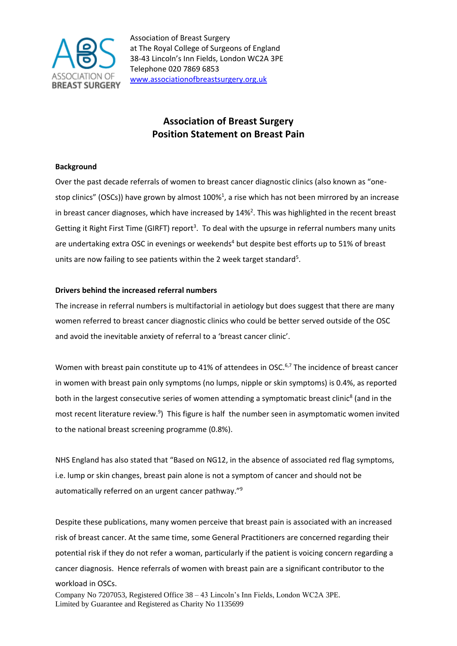

Association of Breast Surgery at The Royal College of Surgeons of England 38-43 Lincoln's Inn Fields, London WC2A 3PE Telephone 020 7869 6853 [www.associationofbreastsurgery.org.uk](http://www.associationofbreastsurgery.org.uk/)

# **Association of Breast Surgery Position Statement on Breast Pain**

# **Background**

Over the past decade referrals of women to breast cancer diagnostic clinics (also known as "onestop clinics" (OSCs)) have grown by almost 100%<sup>1</sup>, a rise which has not been mirrored by an increase in breast cancer diagnoses, which have increased by  $14\%$ <sup>2</sup>. This was highlighted in the recent breast Getting it Right First Time (GIRFT) report<sup>3</sup>. To deal with the upsurge in referral numbers many units are undertaking extra OSC in evenings or weekends<sup>4</sup> but despite best efforts up to 51% of breast units are now failing to see patients within the 2 week target standard<sup>5</sup>.

# **Drivers behind the increased referral numbers**

The increase in referral numbers is multifactorial in aetiology but does suggest that there are many women referred to breast cancer diagnostic clinics who could be better served outside of the OSC and avoid the inevitable anxiety of referral to a 'breast cancer clinic'.

Women with breast pain constitute up to 41% of attendees in OSC.<sup>6,7</sup> The incidence of breast cancer in women with breast pain only symptoms (no lumps, nipple or skin symptoms) is 0.4%, as reported both in the largest consecutive series of women attending a symptomatic breast clinic<sup>8</sup> (and in the most recent literature review.<sup>9</sup>) This figure is half the number seen in asymptomatic women invited to the national breast screening programme (0.8%).

NHS England has also stated that "Based on NG12, in the absence of associated red flag symptoms, i.e. lump or skin changes, breast pain alone is not a symptom of cancer and should not be automatically referred on an urgent cancer pathway."<sup>9</sup>

Despite these publications, many women perceive that breast pain is associated with an increased risk of breast cancer. At the same time, some General Practitioners are concerned regarding their potential risk if they do not refer a woman, particularly if the patient is voicing concern regarding a cancer diagnosis. Hence referrals of women with breast pain are a significant contributor to the workload in OSCs.

Company No 7207053, Registered Office 38 – 43 Lincoln's Inn Fields, London WC2A 3PE. Limited by Guarantee and Registered as Charity No 1135699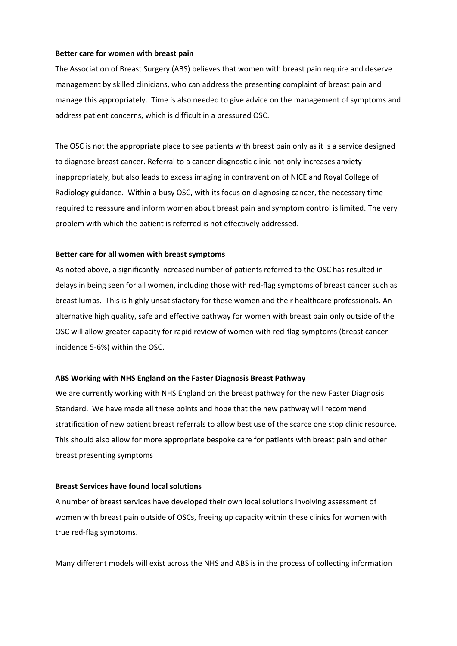### **Better care for women with breast pain**

The Association of Breast Surgery (ABS) believes that women with breast pain require and deserve management by skilled clinicians, who can address the presenting complaint of breast pain and manage this appropriately. Time is also needed to give advice on the management of symptoms and address patient concerns, which is difficult in a pressured OSC.

The OSC is not the appropriate place to see patients with breast pain only as it is a service designed to diagnose breast cancer. Referral to a cancer diagnostic clinic not only increases anxiety inappropriately, but also leads to excess imaging in contravention of NICE and Royal College of Radiology guidance. Within a busy OSC, with its focus on diagnosing cancer, the necessary time required to reassure and inform women about breast pain and symptom control is limited. The very problem with which the patient is referred is not effectively addressed.

#### **Better care for all women with breast symptoms**

As noted above, a significantly increased number of patients referred to the OSC has resulted in delays in being seen for all women, including those with red-flag symptoms of breast cancer such as breast lumps. This is highly unsatisfactory for these women and their healthcare professionals. An alternative high quality, safe and effective pathway for women with breast pain only outside of the OSC will allow greater capacity for rapid review of women with red-flag symptoms (breast cancer incidence 5-6%) within the OSC.

#### **ABS Working with NHS England on the Faster Diagnosis Breast Pathway**

We are currently working with NHS England on the breast pathway for the new Faster Diagnosis Standard. We have made all these points and hope that the new pathway will recommend stratification of new patient breast referrals to allow best use of the scarce one stop clinic resource. This should also allow for more appropriate bespoke care for patients with breast pain and other breast presenting symptoms

#### **Breast Services have found local solutions**

A number of breast services have developed their own local solutions involving assessment of women with breast pain outside of OSCs, freeing up capacity within these clinics for women with true red-flag symptoms.

Many different models will exist across the NHS and ABS is in the process of collecting information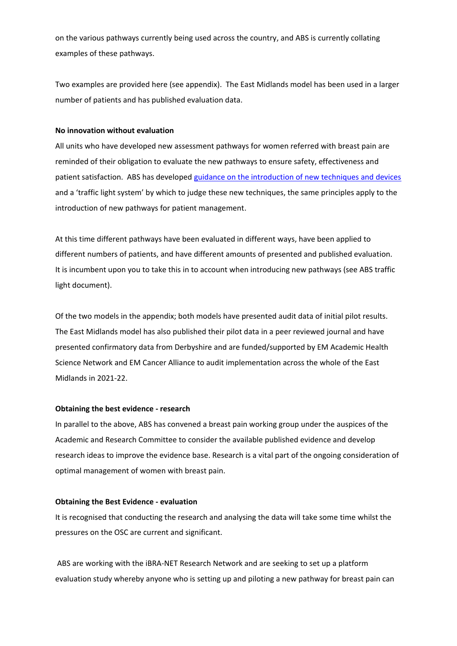on the various pathways currently being used across the country, and ABS is currently collating examples of these pathways.

Two examples are provided here (see appendix). The East Midlands model has been used in a larger number of patients and has published evaluation data.

# **No innovation without evaluation**

All units who have developed new assessment pathways for women referred with breast pain are reminded of their obligation to evaluate the new pathways to ensure safety, effectiveness and patient satisfaction. ABS has developed [guidance on the introduction of new techniques and devices](https://associationofbreastsurgery.org.uk/media/409599/abs-guide-new-techniques-devices.pdf) and a 'traffic light system' by which to judge these new techniques, the same principles apply to the introduction of new pathways for patient management.

At this time different pathways have been evaluated in different ways, have been applied to different numbers of patients, and have different amounts of presented and published evaluation. It is incumbent upon you to take this in to account when introducing new pathways (see ABS traffic light document).

Of the two models in the appendix; both models have presented audit data of initial pilot results. The East Midlands model has also published their pilot data in a peer reviewed journal and have presented confirmatory data from Derbyshire and are funded/supported by EM Academic Health Science Network and EM Cancer Alliance to audit implementation across the whole of the East Midlands in 2021-22.

## **Obtaining the best evidence - research**

In parallel to the above, ABS has convened a breast pain working group under the auspices of the Academic and Research Committee to consider the available published evidence and develop research ideas to improve the evidence base. Research is a vital part of the ongoing consideration of optimal management of women with breast pain.

## **Obtaining the Best Evidence - evaluation**

It is recognised that conducting the research and analysing the data will take some time whilst the pressures on the OSC are current and significant.

ABS are working with the iBRA-NET Research Network and are seeking to set up a platform evaluation study whereby anyone who is setting up and piloting a new pathway for breast pain can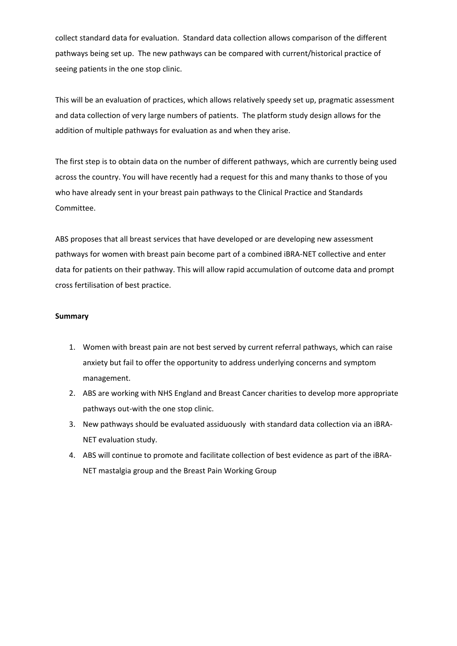collect standard data for evaluation. Standard data collection allows comparison of the different pathways being set up. The new pathways can be compared with current/historical practice of seeing patients in the one stop clinic.

This will be an evaluation of practices, which allows relatively speedy set up, pragmatic assessment and data collection of very large numbers of patients. The platform study design allows for the addition of multiple pathways for evaluation as and when they arise.

The first step is to obtain data on the number of different pathways, which are currently being used across the country. You will have recently had a request for this and many thanks to those of you who have already sent in your breast pain pathways to the Clinical Practice and Standards Committee.

ABS proposes that all breast services that have developed or are developing new assessment pathways for women with breast pain become part of a combined iBRA-NET collective and enter data for patients on their pathway. This will allow rapid accumulation of outcome data and prompt cross fertilisation of best practice.

## **Summary**

- 1. Women with breast pain are not best served by current referral pathways, which can raise anxiety but fail to offer the opportunity to address underlying concerns and symptom management.
- 2. ABS are working with NHS England and Breast Cancer charities to develop more appropriate pathways out-with the one stop clinic.
- 3. New pathways should be evaluated assiduously with standard data collection via an iBRA-NET evaluation study.
- 4. ABS will continue to promote and facilitate collection of best evidence as part of the iBRA-NET mastalgia group and the Breast Pain Working Group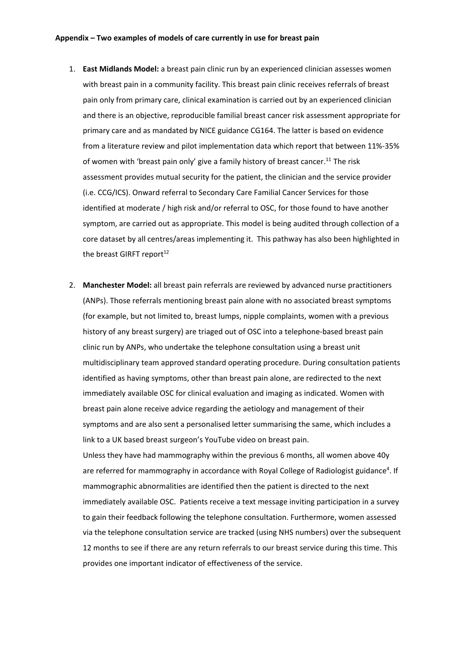- 1. **East Midlands Model:** a breast pain clinic run by an experienced clinician assesses women with breast pain in a community facility. This breast pain clinic receives referrals of breast pain only from primary care, clinical examination is carried out by an experienced clinician and there is an objective, reproducible familial breast cancer risk assessment appropriate for primary care and as mandated by NICE guidance CG164. The latter is based on evidence from a literature review and pilot implementation data which report that between 11%-35% of women with 'breast pain only' give a family history of breast cancer.<sup>11</sup> The risk assessment provides mutual security for the patient, the clinician and the service provider (i.e. CCG/ICS). Onward referral to Secondary Care Familial Cancer Services for those identified at moderate / high risk and/or referral to OSC, for those found to have another symptom, are carried out as appropriate. This model is being audited through collection of a core dataset by all centres/areas implementing it. This pathway has also been highlighted in the breast GIRFT report $12$
- 2. **Manchester Model:** all breast pain referrals are reviewed by advanced nurse practitioners (ANPs). Those referrals mentioning breast pain alone with no associated breast symptoms (for example, but not limited to, breast lumps, nipple complaints, women with a previous history of any breast surgery) are triaged out of OSC into a telephone-based breast pain clinic run by ANPs, who undertake the telephone consultation using a breast unit multidisciplinary team approved standard operating procedure. During consultation patients identified as having symptoms, other than breast pain alone, are redirected to the next immediately available OSC for clinical evaluation and imaging as indicated. Women with breast pain alone receive advice regarding the aetiology and management of their symptoms and are also sent a personalised letter summarising the same, which includes a link to a UK based breast surgeon's YouTube video on breast pain. Unless they have had mammography within the previous 6 months, all women above 40y

are referred for mammography in accordance with Royal College of Radiologist guidance<sup>4</sup>. If mammographic abnormalities are identified then the patient is directed to the next immediately available OSC. Patients receive a text message inviting participation in a survey to gain their feedback following the telephone consultation. Furthermore, women assessed via the telephone consultation service are tracked (using NHS numbers) over the subsequent 12 months to see if there are any return referrals to our breast service during this time. This provides one important indicator of effectiveness of the service.